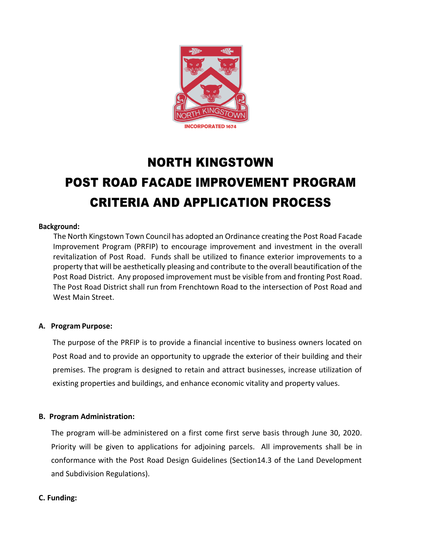

# NORTH KINGSTOWN POST ROAD FACADE IMPROVEMENT PROGRAM CRITERIA AND APPLICATION PROCESS

### **Background:**

The North Kingstown Town Council has adopted an Ordinance creating the Post Road Facade Improvement Program (PRFIP) to encourage improvement and investment in the overall revitalization of Post Road. Funds shall be utilized to finance exterior improvements to a property that will be aesthetically pleasing and contribute to the overall beautification of the Post Road District. Any proposed improvement must be visible from and fronting Post Road. The Post Road District shall run from Frenchtown Road to the intersection of Post Road and West Main Street.

#### **A. Program Purpose:**

The purpose of the PRFIP is to provide a financial incentive to business owners located on Post Road and to provide an opportunity to upgrade the exterior of their building and their premises. The program is designed to retain and attract businesses, increase utilization of existing properties and buildings, and enhance economic vitality and property values.

#### **B. Program Administration:**

The program will-be administered on a first come first serve basis through June 30, 2020. Priority will be given to applications for adjoining parcels. All improvements shall be in conformance with the Post Road Design Guidelines (Section14.3 of the Land Development and Subdivision Regulations).

#### **C. Funding:**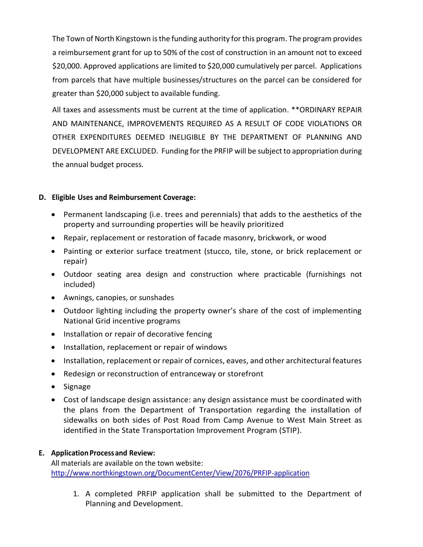The Town of North Kingstown is the funding authority for this program. The program provides a reimbursement grant for up to 50% of the cost of construction in an amount not to exceed \$20,000. Approved applications are limited to \$20,000 cumulatively per parcel. Applications from parcels that have multiple businesses/structures on the parcel can be considered for greater than \$20,000 subject to available funding.

All taxes and assessments must be current at the time of application. \*\*ORDINARY REPAIR AND MAINTENANCE, IMPROVEMENTS REQUIRED AS A RESULT OF CODE VIOLATIONS OR OTHER EXPENDITURES DEEMED INELIGIBLE BY THE DEPARTMENT OF PLANNING AND DEVELOPMENT ARE EXCLUDED. Funding for the PRFIP will be subject to appropriation during the annual budget process.

# **D. Eligible Uses and Reimbursement Coverage:**

- Permanent landscaping (i.e. trees and perennials) that adds to the aesthetics of the property and surrounding properties will be heavily prioritized
- Repair, replacement or restoration of facade masonry, brickwork, or wood
- Painting or exterior surface treatment (stucco, tile, stone, or brick replacement or repair)
- Outdoor seating area design and construction where practicable (furnishings not included)
- Awnings, canopies, or sunshades
- Outdoor lighting including the property owner's share of the cost of implementing National Grid incentive programs
- Installation or repair of decorative fencing
- Installation, replacement or repair of windows
- Installation, replacement or repair of cornices, eaves, and other architectural features
- Redesign or reconstruction of entranceway or storefront
- Signage
- Cost of landscape design assistance: any design assistance must be coordinated with the plans from the Department of Transportation regarding the installation of sidewalks on both sides of Post Road from Camp Avenue to West Main Street as identified in the State Transportation Improvement Program (STIP).

# **E. Application Processand Review:**

All materials are available on the town website: <http://www.northkingstown.org/DocumentCenter/View/2076/PRFIP-application>

1. A completed PRFIP application shall be submitted to the Department of Planning and Development.